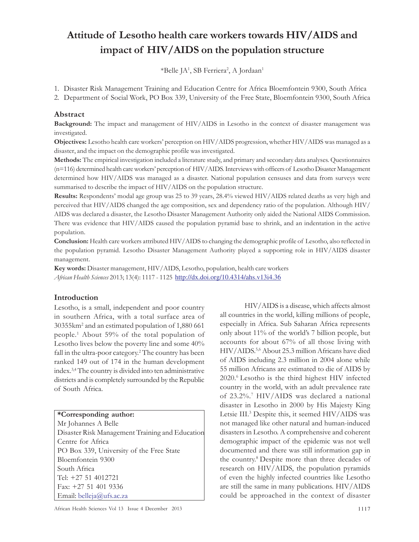# Attitude of Lesotho health care workers towards HIV/AIDS and impact of HIV/AIDS on the population structure

\*Belle JA<sup>1</sup>, SB Ferriera<sup>2</sup>, A Jordaan<sup>1</sup>

1. Disaster Risk Management Training and Education Centre for Africa Bloemfontein 9300, South Africa

2. Department of Social Work, PO Box 339, University of the Free State, Bloemfontein 9300, South Africa

### Abstract

Background: The impact and management of HIV/AIDS in Lesotho in the context of disaster management was investigated.

Objectives: Lesotho health care workers' perception on HIV/AIDS progression, whether HIV/AIDS was managed as a disaster, and the impact on the demographic profile was investigated.

Methods: The empirical investigation included a literature study, and primary and secondary data analyses. Questionnaires (n=116) determined health care workers' perception of HIV/AIDS. Interviews with officers of Lesotho Disaster Management determined how HIV/AIDS was managed as a disaster. National population censuses and data from surveys were summarised to describe the impact of HIV/AIDS on the population structure.

Results: Respondents' modal age group was 25 to 39 years, 28.4% viewed HIV/AIDS related deaths as very high and perceived that HIV/AIDS changed the age composition, sex and dependency ratio of the population. Although HIV/ AIDS was declared a disaster, the Lesotho Disaster Management Authority only aided the National AIDS Commission. There was evidence that HIV/AIDS caused the population pyramid base to shrink, and an indentation in the active population.

Conclusion: Health care workers attributed HIV/AIDS to changing the demographic profile of Lesotho, also reflected in the population pyramid. Lesotho Disaster Management Authority played a supporting role in HIV/AIDS disaster management.

Key words: Disaster management, HIV/AIDS, Lesotho, population, health care workers African Health Sciences 2013; 13(4): 1117 - 1125 http://dx.doi.org/10.4314/ahs.v13i4.36

## Introduction

Lesotho, is a small, independent and poor country in southern Africa, with a total surface area of 30355km<sup>2</sup> and an estimated population of 1,880 661 people.<sup>1</sup> About 59% of the total population of Lesotho lives below the poverty line and some 40% fall in the ultra-poor category.<sup>2</sup> The country has been ranked 149 out of 174 in the human development index.3,4 The country is divided into ten administrative districts and is completely surrounded by the Republic of South Africa.

## \*Corresponding author:

Mr Johannes A Belle Disaster Risk Management Training and Education Centre for Africa PO Box 339, University of the Free State Bloemfontein 9300 South Africa Tel: +27 51 4012721 Fax: +27 51 401 9336 Email: belleja@ufs.ac.za

HIV/AIDS is a disease, which affects almost all countries in the world, killing millions of people, especially in Africa. Sub Saharan Africa represents only about 11% of the world's 7 billion people, but accounts for about 67% of all those living with HIV/AIDS. 5,6 About 25.3 million Africans have died of AIDS including 2.3 million in 2004 alone while 55 million Africans are estimated to die of AIDS by 2020.<sup>6</sup> Lesotho is the third highest HIV infected country in the world, with an adult prevalence rate of 23.2%.<sup>7</sup> HIV/AIDS was declared a national disaster in Lesotho in 2000 by His Majesty King Letsie III.<sup>3</sup> Despite this, it seemed HIV/AIDS was not managed like other natural and human-induced disasters in Lesotho. A comprehensive and coherent demographic impact of the epidemic was not well documented and there was still information gap in the country.<sup>8</sup>Despite more than three decades of research on HIV/AIDS, the population pyramids of even the highly infected countries like Lesotho are still the same in many publications. HIV/AIDS could be approached in the context of disaster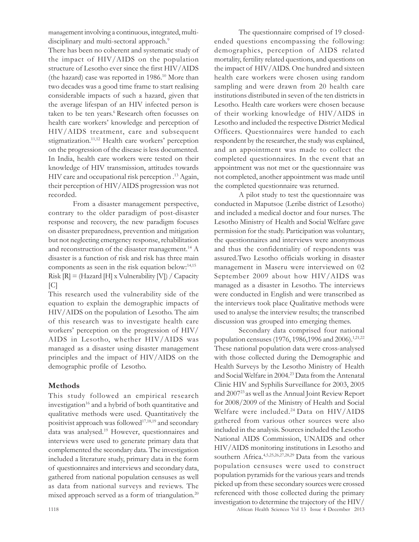management involving a continuous, integrated, multidisciplinary and multi-sectoral approach.<sup>9</sup>

There has been no coherent and systematic study of the impact of HIV/AIDS on the population structure of Lesotho ever since the first HIV/AIDS (the hazard) case was reported in 1986.<sup>10</sup> More than two decades was a good time frame to start realising considerable impacts of such a hazard, given that the average lifespan of an HIV infected person is taken to be ten years.<sup>6</sup> Research often focusses on health care workers' knowledge and perception of HIV/AIDS treatment, care and subsequent stigmatization.<sup>11,12</sup> Health care workers' perception on the progression of the disease is less documented. In India, health care workers were tested on their knowledge of HIV transmission, attitudes towards HIV care and occupational risk perception .<sup>13</sup> Again, their perception of HIV/AIDS progression was not recorded.

From a disaster management perspective, contrary to the older paradigm of post-disaster response and recovery, the new paradigm focuses on disaster preparedness, prevention and mitigation but not neglecting emergency response, rehabilitation and reconstruction of the disaster management.<sup>14</sup> A disaster is a function of risk and risk has three main components as seen in the risk equation below:<sup>14,15</sup> Risk [R] = (Hazard [H] x Vulnerability [V]) / Capacity  $[CI]$ 

This research used the vulnerability side of the equation to explain the demographic impacts of HIV/AIDS on the population of Lesotho. The aim of this research was to investigate health care workers' perception on the progression of HIV/ AIDS in Lesotho, whether HIV/AIDS was managed as a disaster using disaster management principles and the impact of HIV/AIDS on the demographic profile of Lesotho.

# Methods

This study followed an empirical research investigation<sup>16</sup> and a hybrid of both quantitative and qualitative methods were used. Quantitatively the positivist approach was followed<sup>17,18,19</sup> and secondary data was analysed.<sup>19</sup> However, questionnaires and interviews were used to generate primary data that complemented the secondary data. The investigation included a literature study, primary data in the form of questionnaires and interviews and secondary data, gathered from national population censuses as well as data from national surveys and reviews. The mixed approach served as a form of triangulation.<sup>20</sup>

ended questions encompassing the following: demographics, perception of AIDS related mortality, fertility related questions, and questions on the impact of HIV/AIDS. One hundred and sixteen health care workers were chosen using random sampling and were drawn from 20 health care institutions distributed in seven of the ten districts in Lesotho. Health care workers were chosen because of their working knowledge of HIV/AIDS in Lesotho and included the respective District Medical Officers. Questionnaires were handed to each respondent by the researcher, the study was explained, and an appointment was made to collect the completed questionnaires. In the event that an appointment was not met or the questionnaire was not completed, another appointment was made until the completed questionnaire was returned. A pilot study to test the questionnaire was

The questionnaire comprised of 19 closed-

conducted in Maputsoe (Leribe district of Lesotho) and included a medical doctor and four nurses. The Lesotho Ministry of Health and Social Welfare gave permission for the study. Participation was voluntary, the questionnaires and interviews were anonymous and thus the confidentiality of respondents was assured.Two Lesotho officials working in disaster management in Maseru were interviewed on 02 September 2009 about how HIV/AIDS was managed as a disaster in Lesotho. The interviews were conducted in English and were transcribed as the interviews took place Qualitative methods were used to analyse the interview results; the transcribed discussion was grouped into emerging themes.

Secondary data comprised four national population censuses (1976, 1986, 1996 and 2006).<sup>1,21,22</sup> These national population data were cross-analysed with those collected during the Demographic and Health Surveys by the Lesotho Ministry of Health and Social Welfare in 2004.<sup>23</sup> Data from the Antenatal Clinic HIV and Syphilis Surveillance for 2003, 2005 and 2007<sup>23</sup>as well as the Annual Joint Review Report for 2008/2009 of the Ministry of Health and Social Welfare were included.<sup>24</sup> Data on HIV/AIDS gathered from various other sources were also included in the analysis. Sources included the Lesotho National AIDS Commission, UNAIDS and other HIV/AIDS monitoring institutions in Lesotho and southern Africa.<sup>4,5,25,26,27,28,29</sup> Data from the various population censuses were used to construct population pyramids for the various years and trends picked up from these secondary sources were crossed referenced with those collected during the primary investigation to determine the trajectory of the HIV/

1118 **African Health Sciences Vol 13** Issue 4 December 2013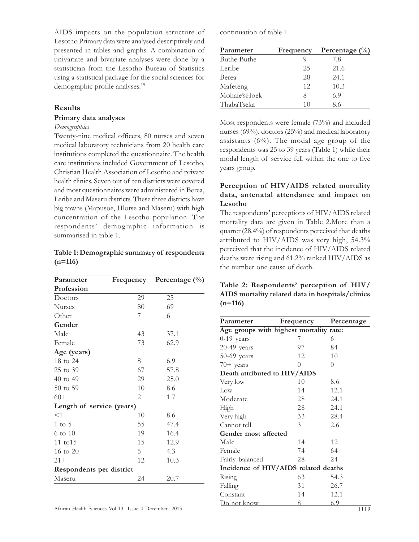AIDS impacts on the population structure of Lesotho.Primary data were analysed descriptively and presented in tables and graphs. A combination of univariate and bivariate analyses were done by a statistician from the Lesotho Bureau of Statistics using a statistical package for the social sciences for demographic profile analyses. 19

#### Results

#### Primary data analyses

#### Demographics

Twenty-nine medical officers, 80 nurses and seven medical laboratory technicians from 20 health care institutions completed the questionnaire. The health care institutions included Government of Lesotho, Christian Health Association of Lesotho and private health clinics. Seven out of ten districts were covered and most questionnaires were administered in Berea, Leribe and Maseru districts. These three districts have big towns (Mapusoe, Hlotse and Maseru) with high concentration of the Lesotho population. The respondents' demographic information is summarised in table 1.

### Table 1: Demographic summary of respondents  $(n=116)$

| Parameter                 | Frequency      | Percentage (%) |  |  |
|---------------------------|----------------|----------------|--|--|
| Profession                |                |                |  |  |
| Doctors                   | 29             | 25             |  |  |
| <b>Nurses</b>             | 80             | 69             |  |  |
| Other                     | 7              | 6              |  |  |
| Gender                    |                |                |  |  |
| Male                      | 43             | 37.1           |  |  |
| Female                    | 73             | 62.9           |  |  |
| Age (years)               |                |                |  |  |
| 18 to 24                  | 8              | 6.9            |  |  |
| 25 to 39                  | 67             | 57.8           |  |  |
| 40 to 49                  | 29             | 25.0           |  |  |
| 50 to 59                  | 10             | 8.6            |  |  |
| $60+$                     | $\mathfrak{D}$ | 1.7            |  |  |
| Length of service (years) |                |                |  |  |
| $<$ 1                     | 10             | 8.6            |  |  |
| $1 \text{ to } 5$         | 55             | 47.4           |  |  |
| 6 to 10                   | 19             | 16.4           |  |  |
| $11 \text{ to } 15$       | 15             | 12.9           |  |  |
| 16 to $20$                | 5              | 4.3            |  |  |
| $21 +$                    | 12             | 10.3           |  |  |
| Respondents per district  |                |                |  |  |
| Maseru                    | 24             | 20.7           |  |  |
|                           |                |                |  |  |

continuation of table 1

| Parameter    | Frequency | Percentage $\left(\frac{0}{0}\right)$ |
|--------------|-----------|---------------------------------------|
| Buthe-Buthe  | O)        | 7.8                                   |
| Leribe       | 25        | 21.6                                  |
| Berea        | 28        | 24.1                                  |
| Mafeteng     | 12        | 10.3                                  |
| Mohale'sHoek | 8         | 6.9                                   |
| ThabaTseka   | 10        | 8.6                                   |

Most respondents were female (73%) and included nurses (69%), doctors (25%) and medical laboratory assistants (6%). The modal age group of the respondents was 25 to 39 years (Table 1) while their modal length of service fell within the one to five years group.

## Perception of HIV/AIDS related mortality data, antenatal attendance and impact on Lesotho

The respondents' perceptions of HIV/AIDS related mortality data are given in Table 2.More than a quarter (28.4%) of respondents perceived that deaths attributed to HIV/AIDS was very high, 54.3% perceived that the incidence of HIV/AIDS related deaths were rising and 61.2% ranked HIV/AIDS as the number one cause of death.

|           | Table 2: Respondents' perception of HIV/         |  |
|-----------|--------------------------------------------------|--|
|           | AIDS mortality related data in hospitals/clinics |  |
| $(n=116)$ |                                                  |  |

| Parameter                               | Frequency | Percentage |  |  |  |  |  |
|-----------------------------------------|-----------|------------|--|--|--|--|--|
| Age groups with highest mortality rate: |           |            |  |  |  |  |  |
| $0-19$ years                            | 7         | 6          |  |  |  |  |  |
| $20-49$ years                           | 97        | 84         |  |  |  |  |  |
| $50-69$ years                           | 12        | 10         |  |  |  |  |  |
| $70+$ years                             | $\Omega$  | $\theta$   |  |  |  |  |  |
| Death attributed to HIV/AIDS            |           |            |  |  |  |  |  |
| Very low                                | 10        | 8.6        |  |  |  |  |  |
| Low                                     | 14        | 12.1       |  |  |  |  |  |
| Moderate                                | 28        | 24.1       |  |  |  |  |  |
| High                                    | 28        | 24.1       |  |  |  |  |  |
| Very high                               | 33        | 28.4       |  |  |  |  |  |
| Cannot tell                             | 3         | 2.6        |  |  |  |  |  |
| Gender most affected                    |           |            |  |  |  |  |  |
| Male                                    | 14        | 12         |  |  |  |  |  |
| Female                                  | 74        | 64         |  |  |  |  |  |
| Fairly balanced                         | 28        | 24         |  |  |  |  |  |
| Incidence of HIV/AIDS related deaths    |           |            |  |  |  |  |  |
| Rising                                  | 63        | 54.3       |  |  |  |  |  |
| Falling                                 | 31        | 26.7       |  |  |  |  |  |
| Constant                                | 14        | 12.1       |  |  |  |  |  |
| Do not know                             | 8         | 6.9        |  |  |  |  |  |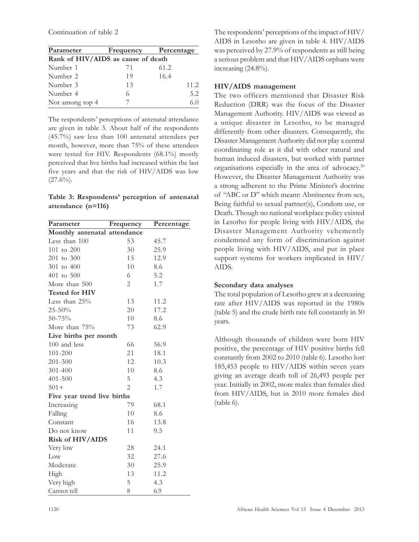Continuation of table 2

| Parameter                          | Frequency | Percentage |  |  |  |  |  |
|------------------------------------|-----------|------------|--|--|--|--|--|
| Rank of HIV/AIDS as cause of death |           |            |  |  |  |  |  |
| Number 1                           | 71        | 61.2       |  |  |  |  |  |
| Number 2                           | 19        | 16.4       |  |  |  |  |  |
| Number 3                           | 13        | 11.2       |  |  |  |  |  |
| Number 4                           | 6         | 5.2        |  |  |  |  |  |
| Not among top 4                    |           | 6.0        |  |  |  |  |  |

The respondents' perceptions of antenatal attendance are given in table 3. About half of the respondents (45.7%) saw less than 100 antenatal attendees per month, however, more than 75% of these attendees were tested for HIV. Respondents (68.1%) mostly perceived that live births had increased within the last five years and that the risk of HIV/AIDS was low  $(27.6\%)$ .

### Table 3: Respondents' perception of antenatal attendance (n=116)

| Parameter<br>Frequency       |                | Percentage |
|------------------------------|----------------|------------|
| Monthly antenatal attendance |                |            |
| Less than 100                | 53             | 45.7       |
| 101 to 200                   | 30             | 25.9       |
| 201 to 300                   | 15             | 12.9       |
| 301 to 400                   | 10             | 8.6        |
| 401 to 500                   | 6              | 5.2        |
| More than 500                | $\overline{2}$ | 1.7        |
| <b>Tested for HIV</b>        |                |            |
| Less than $25%$              | 13             | 11.2       |
| $25 - 50%$                   | 20             | 17.2       |
| 50-75%                       | 10             | 8.6        |
| More than $75%$              | 73             | 62.9       |
| Live births per month        |                |            |
| 100 and less                 | 66             | 56.9       |
| 101-200                      | 21             | 18.1       |
| 201-300                      | 12             | 10.3       |
| 301-400                      | 10             | 8.6        |
| $401 - 500$                  | 5              | 4.3        |
| $501+$                       | $\overline{2}$ | 1.7        |
| Five year trend live births  |                |            |
| Increasing                   | 79             | 68.1       |
| Falling                      | 10             | 8.6        |
| Constant                     | 16             | 13.8       |
| Do not know                  | 11             | 9.5        |
| <b>Risk of HIV/AIDS</b>      |                |            |
| Very low                     | 28             | 24.1       |
| Low                          | 32             | 27.6       |
| Moderate                     | 30             | 25.9       |
| High                         | 13             | 11.2       |
| Very high                    | 5              | 4.3        |
| Cannot tell                  | 8              | 6.9        |

The respondents' perceptions of the impact of HIV/ AIDS in Lesotho are given in table 4. HIV/AIDS was perceived by 27.9% of respondents as still being a serious problem and that HIV/AIDS orphans were increasing (24.8%).

## HIV/AIDS management

The two officers mentioned that Disaster Risk Reduction (DRR) was the focus of the Disaster Management Authority. HIV/AIDS was viewed as a unique disaster in Lesotho, to be managed differently from other disasters. Consequently, the Disaster Management Authority did not play a central coordinating role as it did with other natural and human induced disasters, but worked with partner organisations especially in the area of advocacy.<sup>30</sup> However, the Disaster Management Authority was a strong adherent to the Prime Minister's doctrine of "ABC or D" which meant: Abstinence from sex, Being faithful to sexual partner(s), Condom use, or Death. Though no national workplace policy existed in Lesotho for people living with HIV/AIDS, the Disaster Management Authority vehemently condemned any form of discrimination against people living with HIV/AIDS, and put in place support systems for workers implicated in HIV/ AIDS.

## Secondary data analyses

The total population of Lesotho grew at a decreasing rate after HIV/AIDS was reported in the 1980s (table 5) and the crude birth rate fell constantly in 30 years.

Although thousands of children were born HIV positive, the percentage of HIV positive births fell constantly from 2002 to 2010 (table 6). Lesotho lost 185,453 people to HIV/AIDS within seven years giving an average death toll of 26,493 people per year. Initially in 2002, more males than females died from HIV/AIDS, but in 2010 more females died (table 6).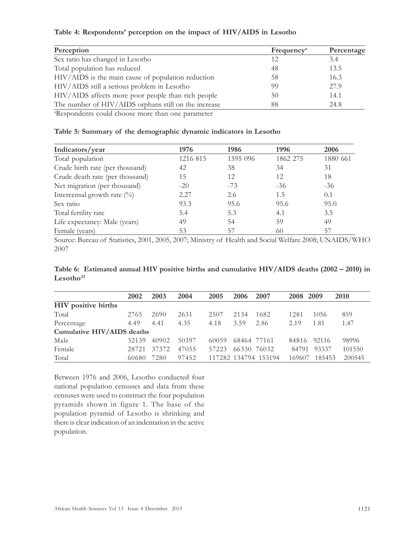## Table 4: Respondents' perception on the impact of HIV/AIDS in Lesotho

| Perception                                           | Frequency <sup>a</sup> | Percentage |
|------------------------------------------------------|------------------------|------------|
| Sex ratio has changed in Lesotho                     | 12                     | 3.4        |
| Total population has reduced                         | 48                     | 13.5       |
| HIV/AIDS is the main cause of population reduction   | 58                     | 16.3       |
| HIV/AIDS still a serious problem in Lesotho          | 99                     | 27.9       |
| HIV/AIDS affects more poor people than rich people   | 50                     | 14.1       |
| The number of HIV/AIDS orphans still on the increase | 88                     | 24.8       |

<sup>a</sup>Respondents could choose more than one parameter

## Table 5: Summary of the demographic dynamic indicators in Lesotho

| Indicators/year                 | 1976     | 1986     | 1996     | 2006     |
|---------------------------------|----------|----------|----------|----------|
| Total population                | 1216 815 | 1595 096 | 1862 275 | 1880 661 |
| Crude birth rate (per thousand) | 42       | 38       | 34       | 31       |
| Crude death rate (per thousand) | 15       | 12       | 12       | 18       |
| Net migration (per thousand)    | $-20$    | $-73$    | $-36$    | $-36$    |
| Intercensal growth rate $(\%)$  | 2.27     | 2.6      | 1.5      | 0.1      |
| Sex ratio                       | 93.3     | 95.6     | 95.6     | 95.0     |
| Total fertility rate            | 5.4      | 5.3      | 4.1      | 3.5      |
| Life expectancy: Male (years)   | 49       | 54       | 59       | 49       |
| Female (years)                  | 53       | 57       | 60       | 57       |

Source: Bureau of Statistics, 2001, 2005, 2007; Ministry of Health and Social Welfare 2008; UNAIDS/WHO 2007

Table 6: Estimated annual HIV positive births and cumulative HIV/AIDS deaths (2002 – 2010) in Lesotho<sup>23</sup>

|                            | 2002  | 2003  | 2004  | 2005  | 2006        | 2007                 | 2008 2009 |        | 2010   |
|----------------------------|-------|-------|-------|-------|-------------|----------------------|-----------|--------|--------|
| <b>HIV</b> positive births |       |       |       |       |             |                      |           |        |        |
| Total                      | 2765  | 2690  | 2631  | 2507  | 2134        | 1682                 | 1281      | 1056   | 859    |
| Percentage                 | 4.49  | 4.41  | 4.35  | 4.18  | 3.59        | 2.86                 | 2.19      | 1.81   | 1.47   |
| Cumulative HIV/AIDS deaths |       |       |       |       |             |                      |           |        |        |
| Male                       | 32139 | 40902 | 50397 | 60059 | 68464 77161 |                      | 84816     | 92116  | 98996  |
| Female                     | 28721 | 37372 | 47055 | 57223 | 66330       | 76032                | 84791     | 93337  | 101550 |
| Total                      | 60680 | 7280  | 97452 |       |             | 117282 134794 153194 | 169607    | 185453 | 200545 |

Between 1976 and 2006, Lesotho conducted four national population censuses and data from these censuses were used to construct the four population pyramids shown in figure 1. The base of the population pyramid of Lesotho is shrinking and there is clear indication of an indentation in the active population.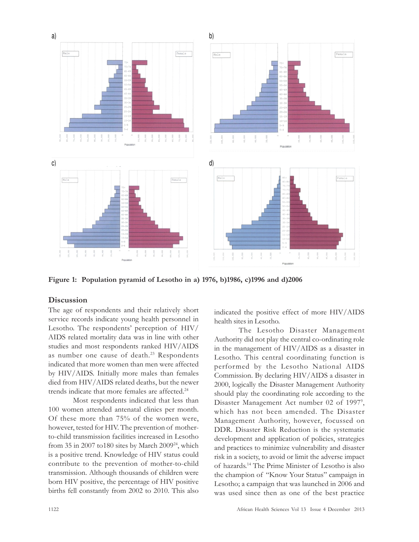

Figure 1: Population pyramid of Lesotho in a) 1976, b)1986, c)1996 and d)2006

## **Discussion**

The age of respondents and their relatively short service records indicate young health personnel in Lesotho. The respondents' perception of HIV/ AIDS related mortality data was in line with other studies and most respondents ranked HIV/AIDS as number one cause of death.<sup>23</sup> Respondents indicated that more women than men were affected by HIV/AIDS. Initially more males than females died from HIV/AIDS related deaths, but the newer trends indicate that more females are affected.<sup>24</sup>

Most respondents indicated that less than 100 women attended antenatal clinics per month. Of these more than 75% of the women were, however, tested for HIV. The prevention of motherto-child transmission facilities increased in Lesotho from 35 in 2007 to 180 sites by March 2009<sup>24</sup>, which is a positive trend. Knowledge of HIV status could contribute to the prevention of mother-to-child transmission. Although thousands of children were born HIV positive, the percentage of HIV positive births fell constantly from 2002 to 2010. This also indicated the positive effect of more HIV/AIDS health sites in Lesotho.

The Lesotho Disaster Management Authority did not play the central co-ordinating role in the management of HIV/AIDS as a disaster in Lesotho. This central coordinating function is performed by the Lesotho National AIDS Commission. By declaring HIV/AIDS a disaster in 2000, logically the Disaster Management Authority should play the coordinating role according to the Disaster Management Act number 02 of 1997<sup>9</sup>, which has not been amended. The Disaster Management Authority, however, focussed on DDR. Disaster Risk Reduction is the systematic development and application of policies, strategies and practices to minimize vulnerability and disaster risk in a society, to avoid or limit the adverse impact of hazards. <sup>14</sup> The Prime Minister of Lesotho is also the champion of "Know Your Status" campaign in Lesotho; a campaign that was launched in 2006 and was used since then as one of the best practice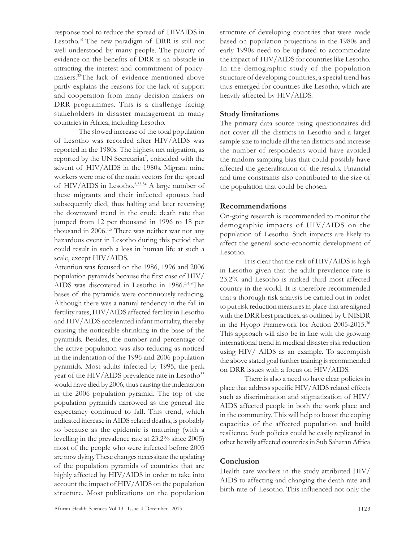response tool to reduce the spread of HIVAIDS in Lesotho. <sup>31</sup>The new paradigm of DRR is still not well understood by many people. The paucity of evidence on the benefits of DRR is an obstacle in attracting the interest and commitment of policymakers.<sup>32</sup>The lack of evidence mentioned above partly explains the reasons for the lack of support and cooperation from many decision makers on DRR programmes. This is a challenge facing stakeholders in disaster management in many countries in Africa, including Lesotho.

The slowed increase of the total population of Lesotho was recorded after HIV/AIDS was reported in the 1980s. The highest net migration, as reported by the UN Secretariat<sup>7</sup>, coincided with the advent of HIV/AIDS in the 1980s. Migrant mine workers were one of the main vectors for the spread of HIV/AIDS in Lesotho.<sup>2,33,34</sup> A large number of these migrants and their infected spouses had subsequently died, thus halting and later reversing the downward trend in the crude death rate that jumped from 12 per thousand in 1996 to 18 per thousand in  $2006$ .<sup>1,5</sup> There was neither war nor any hazardous event in Lesotho during this period that could result in such a loss in human life at such a scale, except HIV/AIDS.

Attention was focused on the 1986, 1996 and 2006 population pyramids because the first case of HIV/ AIDS was discovered in Lesotho in 1986.<sup>3,4,8</sup>The bases of the pyramids were continuously reducing. Although there was a natural tendency in the fall in fertility rates, HIV/AIDS affected fertility in Lesotho and HIV/AIDS accelerated infant mortality, thereby causing the noticeable shrinking in the base of the pyramids. Besides, the number and percentage of the active population was also reducing as noticed in the indentation of the 1996 and 2006 population pyramids. Most adults infected by 1995, the peak year of the HIV/AIDS prevalence rate in Lesotho<sup>35</sup> would have died by 2006, thus causing the indentation in the 2006 population pyramid. The top of the population pyramids narrowed as the general life expectancy continued to fall. This trend, which indicated increase in AIDS related deaths, is probably so because as the epidemic is maturing (with a levelling in the prevalence rate at 23.2% since 2005) most of the people who were infected before 2005 are now dying. These changes necessitate the updating of the population pyramids of countries that are highly affected by HIV/AIDS in order to take into account the impact of HIV/AIDS on the population structure. Most publications on the population structure of developing countries that were made based on population projections in the 1980s and early 1990s need to be updated to accommodate the impact of HIV/AIDS for countries like Lesotho. In the demographic study of the population structure of developing countries, a special trend has thus emerged for countries like Lesotho, which are heavily affected by HIV/AIDS.

## Study limitations

The primary data source using questionnaires did not cover all the districts in Lesotho and a larger sample size to include all the ten districts and increase the number of respondents would have avoided the random sampling bias that could possibly have affected the generalisation of the results. Financial and time constraints also contributed to the size of the population that could be chosen.

## Recommendations

On-going research is recommended to monitor the demographic impacts of HIV/AIDS on the population of Lesotho. Such impacts are likely to affect the general socio-economic development of Lesotho.

It is clear that the risk of HIV/AIDS is high in Lesotho given that the adult prevalence rate is 23.2% and Lesotho is ranked third most affected country in the world. It is therefore recommended that a thorough risk analysis be carried out in order to put risk reduction measures in place that are aligned with the DRR best practices, as outlined by UNISDR in the Hyogo Framework for Action 2005-2015.<sup>36</sup> This approach will also be in line with the growing international trend in medical disaster risk reduction using HIV/ AIDS as an example. To accomplish the above stated goal further training is recommended on DRR issues with a focus on HIV/AIDS.

There is also a need to have clear policies in place that address specific HIV/AIDS related effects such as discrimination and stigmatization of HIV/ AIDS affected people in both the work place and in the community. This will help to boost the coping capacities of the affected population and build resilience. Such policies could be easily replicated in other heavily affected countries in Sub Saharan Africa

# Conclusion

Health care workers in the study attributed HIV/ AIDS to affecting and changing the death rate and birth rate of Lesotho. This influenced not only the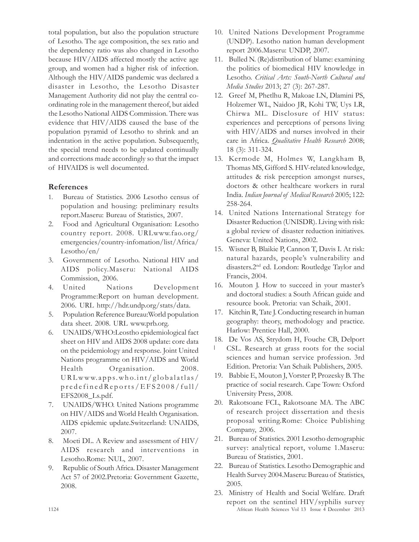total population, but also the population structure of Lesotho. The age composition, the sex ratio and the dependency ratio was also changed in Lesotho because HIV/AIDS affected mostly the active age group, and women had a higher risk of infection. Although the HIV/AIDS pandemic was declared a disaster in Lesotho, the Lesotho Disaster Management Authority did not play the central coordinating role in the management thereof, but aided the Lesotho National AIDS Commission. There was evidence that HIV/AIDS caused the base of the population pyramid of Lesotho to shrink and an indentation in the active population. Subsequently, the special trend needs to be updated continually and corrections made accordingly so that the impact of HIVAIDS is well documented.

## References

- 1. Bureau of Statistics. 2006 Lesotho census of population and housing: preliminary results report.Maseru: Bureau of Statistics, 2007.
- 2. Food and Agricultural Organisation: Lesotho country report. 2008. URLwww.fao.org/ emergencies/country-infomation/list/Africa/ Lesotho/en/
- 3. Government of Lesotho. National HIV and AIDS policy.Maseru: National AIDS Commission, 2006.
- 4. United Nations Development Programme:Report on human development. 2006. URL http://hdr.undp.org/stats/data.
- 5. Population Reference Bureau:World population data sheet. 2008. URL www.prb.org.
- 6. UNAIDS/WHO:Leostho epidemiological fact sheet on HIV and AIDS 2008 update: core data on the peidemiology and response. Joint United Nations programme on HIV/AIDS and World Health Organisation. 2008. URLwww. a pps. wh o.int/g lobala tlas/ predefinedReports/EFS2008/full/ EFS2008\_Ls.pdf.
- 7. UNAIDS/WHO. United Nations programme on HIV/AIDS and World Health Organisation. AIDS epidemic update.Switzerland: UNAIDS, 2007.
- 8. Moeti DL. A Review and assessment of HIV/ AIDS research and interventions in Lesotho.Rome: NUL, 2007.
- 9. Republic of South Africa. Disaster Management Act 57 of 2002.Pretoria: Government Gazette, 2008.
- 10. United Nations Development Programme (UNDP). Lesotho nation human development report 2006.Maseru: UNDP, 2007.
- 11. Bulled N. (Re)distribution of blame: examining the politics of biomedical HIV knowledge in Lesotho. Critical Arts: South-North Cultural and Media Studies 2013; 27 (3): 267-287.
- 12. Greef M, Phetlhu R, Makoae LN, Dlamini PS, Holzemer WL, Naidoo JR, Kohi TW, Uys LR, Chirwa ML. Disclosure of HIV status: experiences and perceptions of persons living with HIV/AIDS and nurses involved in their care in Africa. Qualitative Health Research 2008; 18 (3): 311-324.
- 13. Kermode M, Holmes W, Langkham B, Thomas MS, Gifford S. HIV-related knowledge, attitudes & risk perception amongst nurses, doctors & other healthcare workers in rural India. Indian Journal of Medical Research 2005; 122: 258-264.
- 14. United Nations International Strategy for Disaster Reduction (UNISDR). Living with risk: a global review of disaster reduction initiatives. Geneva: United Nations, 2002.
- 15. Wisner B, Blaikie P, Cannon T, Davis I. At risk: natural hazards, people's vulnerability and disasters.2nd ed. London: Routledge Taylor and Francis, 2004.
- 16. Mouton J. How to succeed in your master's and doctoral studies: a South African guide and resource book. Pretoria: van Schaik, 2001.
- 17. Kitchin R, Tate J. Conducting research in human geography: theory, methodology and practice. Harlow: Prentice Hall, 2000.
- 18. De Vos AS, Strydom H, Fouche CB, Delport
- CSL. Research at grass roots for the social  $\mathsf{L}$ sciences and human service profession. 3rd Edition. Pretoria: Van Schaik Publishers, 2005.
- 19. Babbie E, Mouton J, Vorster P, Prozesky B. The practice of social research. Cape Town: Oxford University Press, 2008.
- 20. Rakotsoane FCL, Rakotsoane MA. The ABC of research project dissertation and thesis proposal writing.Rome: Choice Publishing Company, 2006.
- 21. Bureau of Statistics. 2001 Lesotho demographic survey: analytical report, volume 1.Maseru: Bureau of Statistics, 2001.
- 22. Bureau of Statistics. Lesotho Demographic and Health Survey 2004.Maseru: Bureau of Statistics, 2005.
- 1124 African Health Sciences Vol 13 Issue 4 December 2013 23. Ministry of Health and Social Welfare. Draft report on the sentinel HIV/syphilis survey